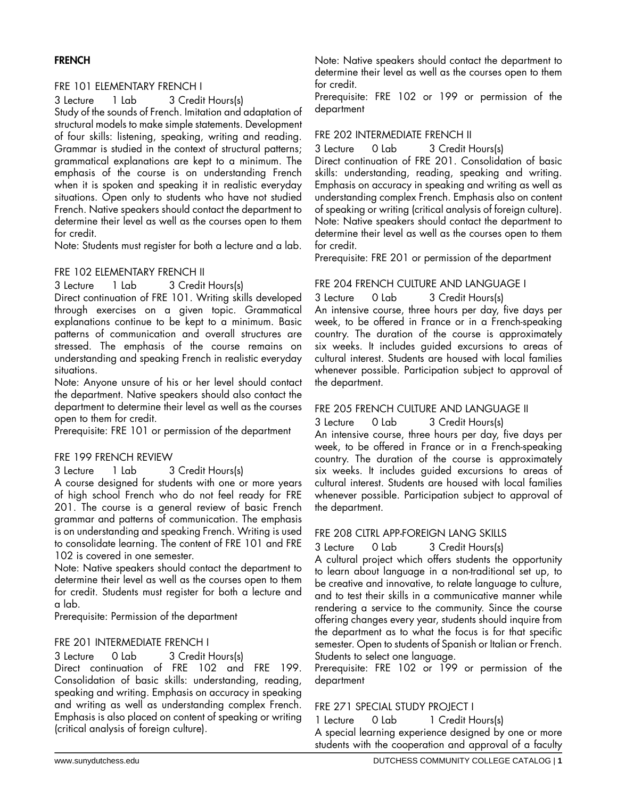# FRENCH

## FRE 101 ELEMENTARY FRENCH I

3 Lecture 1 Lab 3 Credit Hours(s)

Study of the sounds of French. Imitation and adaptation of structural models to make simple statements. Development of four skills: listening, speaking, writing and reading. Grammar is studied in the context of structural patterns; grammatical explanations are kept to a minimum. The emphasis of the course is on understanding French when it is spoken and speaking it in realistic everyday situations. Open only to students who have not studied French. Native speakers should contact the department to determine their level as well as the courses open to them for credit.

Note: Students must register for both a lecture and a lab.

#### FRE 102 ELEMENTARY FRENCH II

3 Lecture 1 Lab 3 Credit Hours(s)

Direct continuation of FRE 101. Writing skills developed through exercises on a given topic. Grammatical explanations continue to be kept to a minimum. Basic patterns of communication and overall structures are stressed. The emphasis of the course remains on understanding and speaking French in realistic everyday situations.

Note: Anyone unsure of his or her level should contact the department. Native speakers should also contact the department to determine their level as well as the courses open to them for credit.

Prerequisite: FRE 101 or permission of the department

#### FRE 199 FRENCH REVIEW

3 Lecture 1 Lab 3 Credit Hours(s)

A course designed for students with one or more years of high school French who do not feel ready for FRE 201. The course is a general review of basic French grammar and patterns of communication. The emphasis is on understanding and speaking French. Writing is used to consolidate learning. The content of FRE 101 and FRE 102 is covered in one semester.

Note: Native speakers should contact the department to determine their level as well as the courses open to them for credit. Students must register for both a lecture and a lab.

Prerequisite: Permission of the department

#### FRE 201 INTERMEDIATE FRENCH I

3 Lecture 0 Lab 3 Credit Hours(s) Direct continuation of FRE 102 and FRE 199. Consolidation of basic skills: understanding, reading, speaking and writing. Emphasis on accuracy in speaking and writing as well as understanding complex French. Emphasis is also placed on content of speaking or writing (critical analysis of foreign culture).

Note: Native speakers should contact the department to determine their level as well as the courses open to them for credit.

Prerequisite: FRE 102 or 199 or permission of the department

#### FRE 202 INTERMEDIATE FRENCH II

3 Lecture 0 Lab 3 Credit Hours(s)

Direct continuation of FRE 201. Consolidation of basic skills: understanding, reading, speaking and writing. Emphasis on accuracy in speaking and writing as well as understanding complex French. Emphasis also on content of speaking or writing (critical analysis of foreign culture). Note: Native speakers should contact the department to determine their level as well as the courses open to them for credit.

Prerequisite: FRE 201 or permission of the department

## FRE 204 FRENCH CULTURE AND LANGUAGE I

3 Lecture 0 Lab 3 Credit Hours(s) An intensive course, three hours per day, five days per week, to be offered in France or in a French-speaking country. The duration of the course is approximately six weeks. It includes guided excursions to areas of cultural interest. Students are housed with local families whenever possible. Participation subject to approval of the department.

## FRE 205 FRENCH CULTURE AND LANGUAGE II

3 Lecture 0 Lab 3 Credit Hours(s) An intensive course, three hours per day, five days per week, to be offered in France or in a French-speaking country. The duration of the course is approximately six weeks. It includes guided excursions to areas of cultural interest. Students are housed with local families whenever possible. Participation subject to approval of the department.

## FRE 208 CLTRL APP-FOREIGN LANG SKILLS

3 Lecture 0 Lab 3 Credit Hours(s) A cultural project which offers students the opportunity to learn about language in a non-traditional set up, to be creative and innovative, to relate language to culture, and to test their skills in a communicative manner while rendering a service to the community. Since the course offering changes every year, students should inquire from the department as to what the focus is for that specific semester. Open to students of Spanish or Italian or French. Students to select one language.

Prerequisite: FRE 102 or 199 or permission of the department

## FRE 271 SPECIAL STUDY PROJECT I

1 Lecture 0 Lab 1 Credit Hours(s) A special learning experience designed by one or more students with the cooperation and approval of a faculty